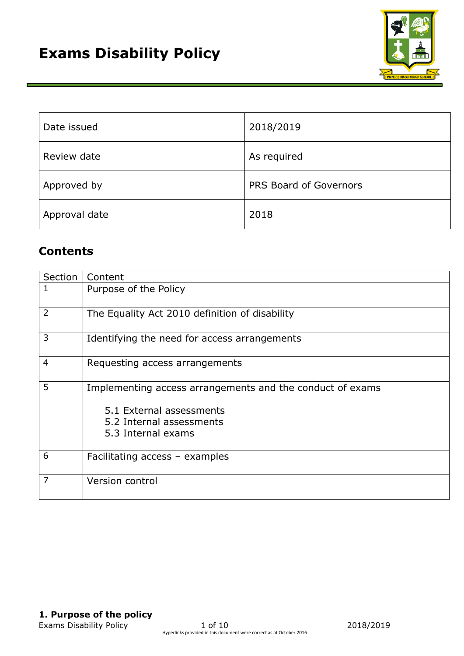

| Date issued   | 2018/2019              |
|---------------|------------------------|
| Review date   | As required            |
| Approved by   | PRS Board of Governors |
| Approval date | 2018                   |

# **Contents**

| Section        | Content                                                                                                                                 |
|----------------|-----------------------------------------------------------------------------------------------------------------------------------------|
| 1              | Purpose of the Policy                                                                                                                   |
| 2              | The Equality Act 2010 definition of disability                                                                                          |
| 3              | Identifying the need for access arrangements                                                                                            |
| $\overline{4}$ | Requesting access arrangements                                                                                                          |
| 5              | Implementing access arrangements and the conduct of exams<br>5.1 External assessments<br>5.2 Internal assessments<br>5.3 Internal exams |
| 6              | Facilitating access - examples                                                                                                          |
| 7              | Version control                                                                                                                         |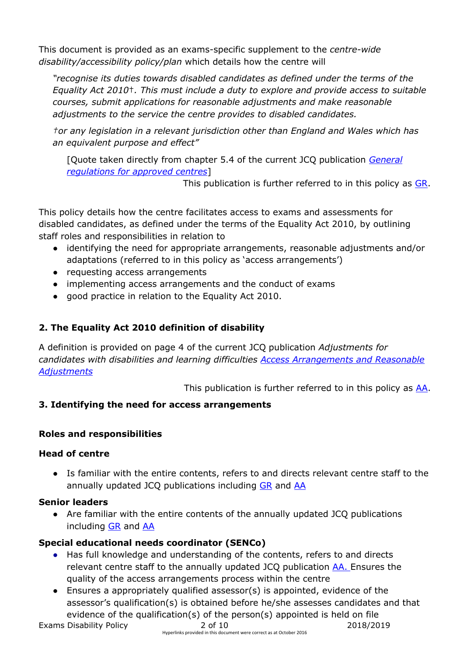This document is provided as an exams-specific supplement to the *centre-wide disability/accessibility policy/plan* which details how the centre will

*"recognise its duties towards disabled candidates as defined under the terms of the Equality Act 2010*†*. This must include a duty to explore and provide access to suitable courses, submit applications for reasonable adjustments and make reasonable adjustments to the service the centre provides to disabled candidates.*

*†or any legislation in a relevant jurisdiction other than England and Wales which has an equivalent purpose and effect"* 

[Quote taken directly from chapter 5.4 of the current JCQ publication *[General](http://www.jcq.org.uk/exams-office/general-regulations)  [regulations for approved centres](http://www.jcq.org.uk/exams-office/general-regulations)*]

This publication is further referred to in this policy as [GR.](http://www.jcq.org.uk/exams-office/general-regulations)

This policy details how the centre facilitates access to exams and assessments for disabled candidates, as defined under the terms of the Equality Act 2010, by outlining staff roles and responsibilities in relation to

- identifying the need for appropriate arrangements, reasonable adjustments and/or adaptations (referred to in this policy as 'access arrangements')
- requesting access arrangements
- implementing access arrangements and the conduct of exams
- good practice in relation to the Equality Act 2010.

# **2. The Equality Act 2010 definition of disability**

A definition is provided on page 4 of the current JCQ publication *Adjustments for candidates with disabilities and learning difficulties [Access Arrangements and Reasonable](http://www.jcq.org.uk/exams-office/access-arrangements-and-special-consideration/regulations-and-guidance)  [Adjustments](http://www.jcq.org.uk/exams-office/access-arrangements-and-special-consideration/regulations-and-guidance)*

This publication is further referred to in this policy as [AA.](http://www.jcq.org.uk/exams-office/access-arrangements-and-special-consideration/regulations-and-guidance)

# **3. Identifying the need for access arrangements**

# **Roles and responsibilities**

# **Head of centre**

● Is familiar with the entire contents, refers to and directs relevant centre staff to the annually updated JCQ publications including [GR](http://www.jcq.org.uk/exams-office/general-regulations) and [AA](http://www.jcq.org.uk/exams-office/access-arrangements-and-special-consideration/regulations-and-guidance)

# **Senior leaders**

● Are familiar with the entire contents of the annually updated JCQ publications including [GR](http://www.jcq.org.uk/exams-office/general-regulations) and [AA](http://www.jcq.org.uk/exams-office/access-arrangements-and-special-consideration/regulations-and-guidance)

# **Special educational needs coordinator (SENCo)**

- Has full knowledge and understanding of the contents, refers to and directs relevant centre staff to the annually updated JCQ publication [AA.](http://www.jcq.org.uk/exams-office/access-arrangements-and-special-consideration/regulations-and-guidance) Ensures the quality of the access arrangements process within the centre
- Ensures a appropriately qualified assessor(s) is appointed, evidence of the assessor's qualification(s) is obtained before he/she assesses candidates and that evidence of the qualification(s) of the person(s) appointed is held on file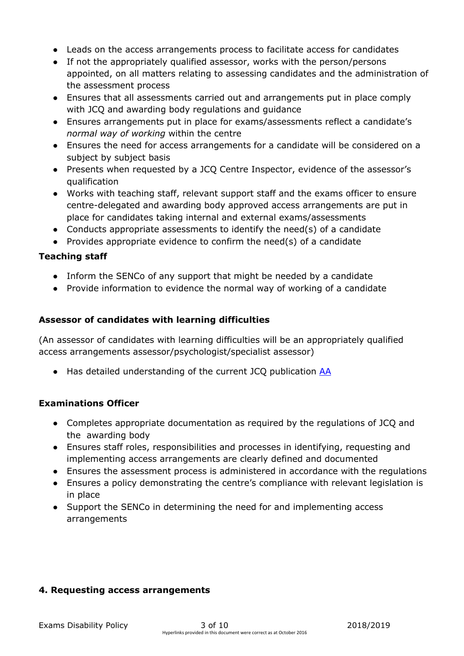- Leads on the access arrangements process to facilitate access for candidates
- If not the appropriately qualified assessor, works with the person/persons appointed, on all matters relating to assessing candidates and the administration of the assessment process
- Ensures that all assessments carried out and arrangements put in place comply with JCQ and awarding body regulations and guidance
- Ensures arrangements put in place for exams/assessments reflect a candidate's *normal way of working* within the centre
- Ensures the need for access arrangements for a candidate will be considered on a subject by subject basis
- Presents when requested by a JCQ Centre Inspector, evidence of the assessor's qualification
- Works with teaching staff, relevant support staff and the exams officer to ensure centre-delegated and awarding body approved access arrangements are put in place for candidates taking internal and external exams/assessments
- Conducts appropriate assessments to identify the need(s) of a candidate
- Provides appropriate evidence to confirm the need(s) of a candidate

### **Teaching staff**

- Inform the SENCo of any support that might be needed by a candidate
- Provide information to evidence the normal way of working of a candidate

### **Assessor of candidates with learning difficulties**

(An assessor of candidates with learning difficulties will be an appropriately qualified access arrangements assessor/psychologist/specialist assessor)

● Has detailed understanding of the current JCQ publication [AA](http://www.jcq.org.uk/exams-office/access-arrangements-and-special-consideration/regulations-and-guidance)

### **Examinations Officer**

- Completes appropriate documentation as required by the regulations of JCQ and the awarding body
- Ensures staff roles, responsibilities and processes in identifying, requesting and implementing access arrangements are clearly defined and documented
- Ensures the assessment process is administered in accordance with the regulations
- Ensures a policy demonstrating the centre's compliance with relevant legislation is in place
- Support the SENCo in determining the need for and implementing access arrangements

### **4. Requesting access arrangements**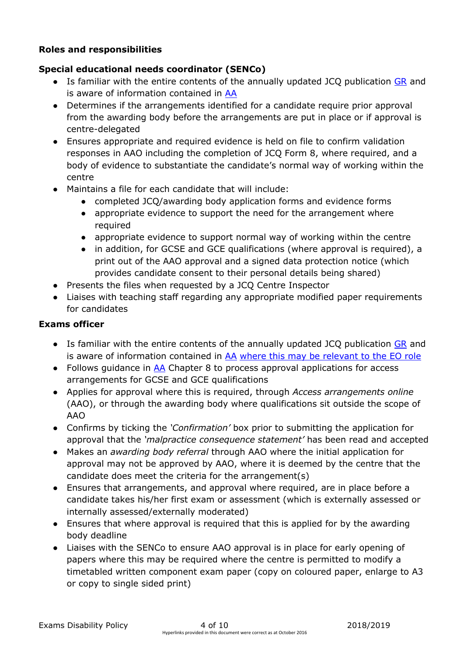#### **Roles and responsibilities**

#### **Special educational needs coordinator (SENCo)**

- Is familiar with the entire contents of the annually updated JCQ publication [GR](http://www.jcq.org.uk/exams-office/general-regulations) and is aware of information contained in [AA](http://www.jcq.org.uk/exams-office/access-arrangements-and-special-consideration/regulations-and-guidance)
- Determines if the arrangements identified for a candidate require prior approval from the awarding body before the arrangements are put in place or if approval is centre-delegated
- Ensures appropriate and required evidence is held on file to confirm validation responses in AAO including the completion of JCQ Form 8, where required, and a body of evidence to substantiate the candidate's normal way of working within the centre
- Maintains a file for each candidate that will include:
	- completed JCQ/awarding body application forms and evidence forms
	- appropriate evidence to support the need for the arrangement where required
	- appropriate evidence to support normal way of working within the centre
	- in addition, for GCSE and GCE qualifications (where approval is required), a print out of the AAO approval and a signed data protection notice (which provides candidate consent to their personal details being shared)
- Presents the files when requested by a JCQ Centre Inspector
- Liaises with teaching staff regarding any appropriate modified paper requirements for candidates

#### **Exams officer**

- Is familiar with the entire contents of the annually updated JCQ publication [GR](http://www.jcq.org.uk/exams-office/general-regulations) and is aware of information contained in [AA](http://www.jcq.org.uk/exams-office/access-arrangements-and-special-consideration/regulations-and-guidance) where this may be relevant to the EO role
- Follows guidance in [AA](http://www.jcq.org.uk/exams-office/access-arrangements-and-special-consideration) Chapter 8 to process approval applications for access arrangements for GCSE and GCE qualifications
- Applies for approval where this is required, through *Access arrangements online* (AAO), or through the awarding body where qualifications sit outside the scope of AAO
- Confirms by ticking the *'Confirmation'* box prior to submitting the application for approval that the *'malpractice consequence statement'* has been read and accepted
- Makes an *awarding body referral* through AAO where the initial application for approval may not be approved by AAO, where it is deemed by the centre that the candidate does meet the criteria for the arrangement(s)
- Ensures that arrangements, and approval where required, are in place before a candidate takes his/her first exam or assessment (which is externally assessed or internally assessed/externally moderated)
- Ensures that where approval is required that this is applied for by the awarding body deadline
- Liaises with the SENCo to ensure AAO approval is in place for early opening of papers where this may be required where the centre is permitted to modify a timetabled written component exam paper (copy on coloured paper, enlarge to A3 or copy to single sided print)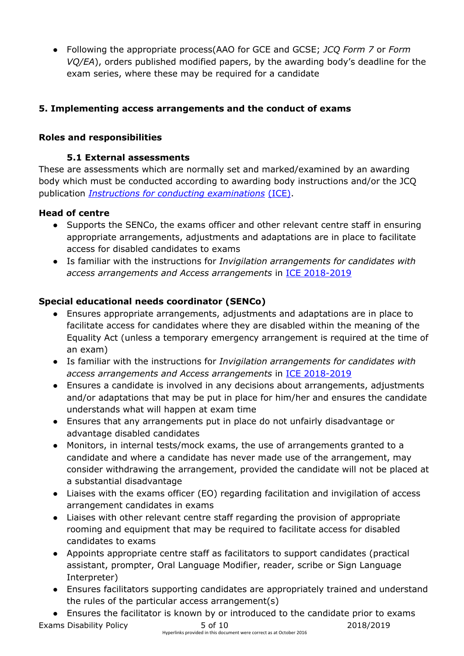● Following the appropriate process(AAO for GCE and GCSE; *JCQ Form 7* or *Form VQ/EA*), orders published modified papers, by the awarding body's deadline for the exam series, where these may be required for a candidate

### **5. Implementing access arrangements and the conduct of exams**

#### **Roles and responsibilities**

#### **5.1 External assessments**

These are assessments which are normally set and marked/examined by an awarding body which must be conducted according to awarding body instructions and/or the JCQ publication *[Instructions for conducting examinations](http://www.jcq.org.uk/exams-office/ice---instructions-for-conducting-examinations)* (ICE).

#### **Head of centre**

- Supports the SENCo, the exams officer and other relevant centre staff in ensuring appropriate arrangements, adjustments and adaptations are in place to facilitate access for disabled candidates to exams
- Is familiar with the instructions for *Invigilation arrangements for candidates with access arrangements and Access arrangements* in [ICE](http://www.jcq.org.uk/exams-office/ice---instructions-for-conducting-examinations) 2018-2019

### **Special educational needs coordinator (SENCo)**

- Ensures appropriate arrangements, adjustments and adaptations are in place to facilitate access for candidates where they are disabled within the meaning of the Equality Act (unless a temporary emergency arrangement is required at the time of an exam)
- Is familiar with the instructions for *Invigilation arrangements for candidates with access arrangements and Access arrangements* in [ICE](http://www.jcq.org.uk/exams-office/ice---instructions-for-conducting-examinations) 2018-2019
- Ensures a candidate is involved in any decisions about arrangements, adjustments and/or adaptations that may be put in place for him/her and ensures the candidate understands what will happen at exam time
- Ensures that any arrangements put in place do not unfairly disadvantage or advantage disabled candidates
- Monitors, in internal tests/mock exams, the use of arrangements granted to a candidate and where a candidate has never made use of the arrangement, may consider withdrawing the arrangement, provided the candidate will not be placed at a substantial disadvantage
- Liaises with the exams officer (EO) regarding facilitation and invigilation of access arrangement candidates in exams
- Liaises with other relevant centre staff regarding the provision of appropriate rooming and equipment that may be required to facilitate access for disabled candidates to exams
- Appoints appropriate centre staff as facilitators to support candidates (practical assistant, prompter, Oral Language Modifier, reader, scribe or Sign Language Interpreter)
- Ensures facilitators supporting candidates are appropriately trained and understand the rules of the particular access arrangement(s)
- Exams Disability Policy **5 of 10** 2018/2019 ● Ensures the facilitator is known by or introduced to the candidate prior to exams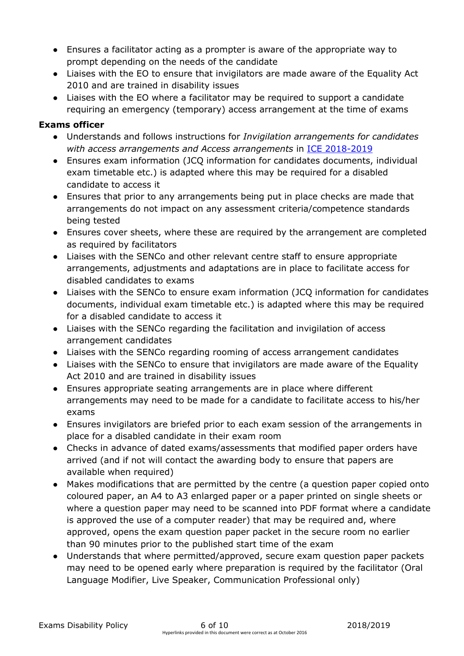- Ensures a facilitator acting as a prompter is aware of the appropriate way to prompt depending on the needs of the candidate
- Liaises with the EO to ensure that invigilators are made aware of the Equality Act 2010 and are trained in disability issues
- Liaises with the EO where a facilitator may be required to support a candidate requiring an emergency (temporary) access arrangement at the time of exams

### **Exams officer**

- Understands and follows instructions for *Invigilation arrangements for candidates with access arrangements and Access arrangements* in [ICE](http://www.jcq.org.uk/exams-office/ice---instructions-for-conducting-examinations) 2018-2019
- Ensures exam information (JCQ information for candidates documents, individual exam timetable etc.) is adapted where this may be required for a disabled candidate to access it
- Ensures that prior to any arrangements being put in place checks are made that arrangements do not impact on any assessment criteria/competence standards being tested
- Ensures cover sheets, where these are required by the arrangement are completed as required by facilitators
- Liaises with the SENCo and other relevant centre staff to ensure appropriate arrangements, adjustments and adaptations are in place to facilitate access for disabled candidates to exams
- Liaises with the SENCo to ensure exam information (JCQ information for candidates documents, individual exam timetable etc.) is adapted where this may be required for a disabled candidate to access it
- Liaises with the SENCo regarding the facilitation and invigilation of access arrangement candidates
- Liaises with the SENCo regarding rooming of access arrangement candidates
- Liaises with the SENCo to ensure that invigilators are made aware of the Equality Act 2010 and are trained in disability issues
- Ensures appropriate seating arrangements are in place where different arrangements may need to be made for a candidate to facilitate access to his/her exams
- Ensures invigilators are briefed prior to each exam session of the arrangements in place for a disabled candidate in their exam room
- Checks in advance of dated exams/assessments that modified paper orders have arrived (and if not will contact the awarding body to ensure that papers are available when required)
- Makes modifications that are permitted by the centre (a question paper copied onto coloured paper, an A4 to A3 enlarged paper or a paper printed on single sheets or where a question paper may need to be scanned into PDF format where a candidate is approved the use of a computer reader) that may be required and, where approved, opens the exam question paper packet in the secure room no earlier than 90 minutes prior to the published start time of the exam
- Understands that where permitted/approved, secure exam question paper packets may need to be opened early where preparation is required by the facilitator (Oral Language Modifier, Live Speaker, Communication Professional only)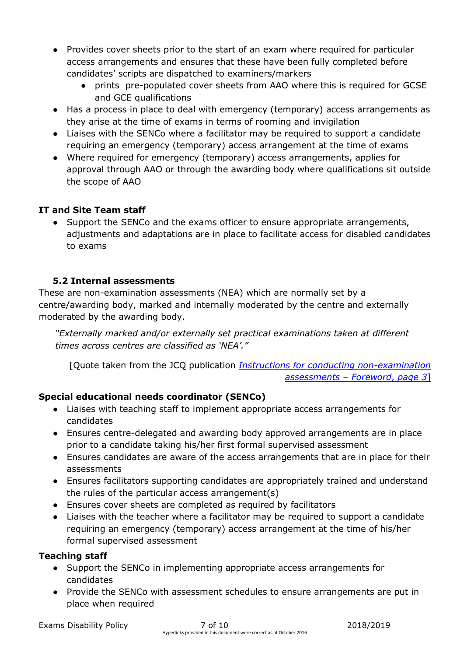- Provides cover sheets prior to the start of an exam where required for particular access arrangements and ensures that these have been fully completed before candidates' scripts are dispatched to examiners/markers
	- prints pre-populated cover sheets from AAO where this is required for GCSE and GCE qualifications
- Has a process in place to deal with emergency (temporary) access arrangements as they arise at the time of exams in terms of rooming and invigilation
- Liaises with the SENCo where a facilitator may be required to support a candidate requiring an emergency (temporary) access arrangement at the time of exams
- Where required for emergency (temporary) access arrangements, applies for approval through AAO or through the awarding body where qualifications sit outside the scope of AAO

# **IT and Site Team staff**

● Support the SENCo and the exams officer to ensure appropriate arrangements, adjustments and adaptations are in place to facilitate access for disabled candidates to exams

# **5.2 Internal assessments**

These are non-examination assessments (NEA) which are normally set by a centre/awarding body, marked and internally moderated by the centre and externally moderated by the awarding body.

*"Externally marked and/or externally set practical examinations taken at different times across centres are classified as 'NEA'."*

[Quote taken from the JCQ publication *[Instructions for conducting non-examination](http://www.jcq.org.uk/exams-office/non-examination-assessments)  [assessments](http://www.jcq.org.uk/exams-office/non-examination-assessments)* – *Foreword*, *page 3*]

# **Special educational needs coordinator (SENCo)**

- Liaises with teaching staff to implement appropriate access arrangements for candidates
- Ensures centre-delegated and awarding body approved arrangements are in place prior to a candidate taking his/her first formal supervised assessment
- Ensures candidates are aware of the access arrangements that are in place for their assessments
- Ensures facilitators supporting candidates are appropriately trained and understand the rules of the particular access arrangement(s)
- Ensures cover sheets are completed as required by facilitators
- Liaises with the teacher where a facilitator may be required to support a candidate requiring an emergency (temporary) access arrangement at the time of his/her formal supervised assessment

# **Teaching staff**

- Support the SENCo in implementing appropriate access arrangements for candidates
- Provide the SENCo with assessment schedules to ensure arrangements are put in place when required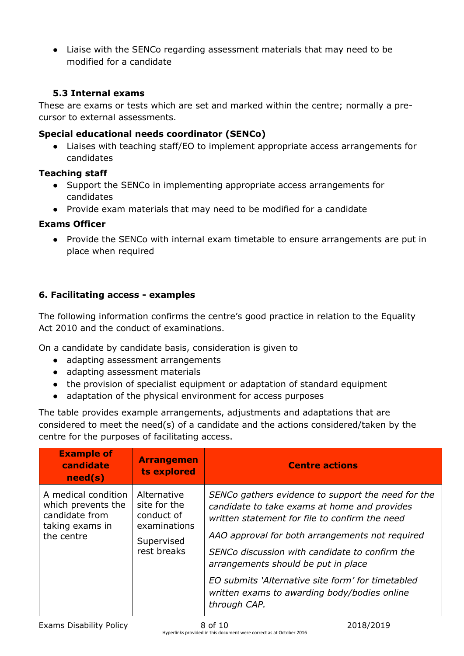● Liaise with the SENCo regarding assessment materials that may need to be modified for a candidate

### **5.3 Internal exams**

These are exams or tests which are set and marked within the centre; normally a precursor to external assessments.

### **Special educational needs coordinator (SENCo)**

● Liaises with teaching staff/EO to implement appropriate access arrangements for candidates

### **Teaching staff**

- Support the SENCo in implementing appropriate access arrangements for candidates
- Provide exam materials that may need to be modified for a candidate

### **Exams Officer**

● Provide the SENCo with internal exam timetable to ensure arrangements are put in place when required

# **6. Facilitating access - examples**

The following information confirms the centre's good practice in relation to the Equality Act 2010 and the conduct of examinations.

On a candidate by candidate basis, consideration is given to

- adapting assessment arrangements
- adapting assessment materials
- the provision of specialist equipment or adaptation of standard equipment
- adaptation of the physical environment for access purposes

The table provides example arrangements, adjustments and adaptations that are considered to meet the need(s) of a candidate and the actions considered/taken by the centre for the purposes of facilitating access.

| <b>Example of</b><br>candidate<br>need(s)                                                    | <b>Arrangemen</b><br>ts explored                                                       | <b>Centre actions</b>                                                                                                                                                                                                                                                                                                                                                                                                 |
|----------------------------------------------------------------------------------------------|----------------------------------------------------------------------------------------|-----------------------------------------------------------------------------------------------------------------------------------------------------------------------------------------------------------------------------------------------------------------------------------------------------------------------------------------------------------------------------------------------------------------------|
| A medical condition<br>which prevents the<br>candidate from<br>taking exams in<br>the centre | Alternative<br>site for the<br>conduct of<br>examinations<br>Supervised<br>rest breaks | SENCo gathers evidence to support the need for the<br>candidate to take exams at home and provides<br>written statement for file to confirm the need<br>AAO approval for both arrangements not required<br>SENCo discussion with candidate to confirm the<br>arrangements should be put in place<br>EO submits 'Alternative site form' for timetabled<br>written exams to awarding body/bodies online<br>through CAP. |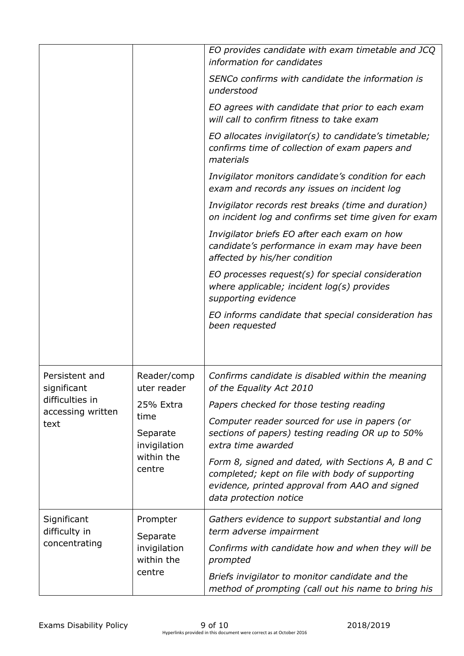|                                               |                                                                                                     | EO provides candidate with exam timetable and JCQ<br>information for candidates                                                                                                   |
|-----------------------------------------------|-----------------------------------------------------------------------------------------------------|-----------------------------------------------------------------------------------------------------------------------------------------------------------------------------------|
|                                               |                                                                                                     | SENCo confirms with candidate the information is<br>understood                                                                                                                    |
|                                               |                                                                                                     | EO agrees with candidate that prior to each exam<br>will call to confirm fitness to take exam                                                                                     |
|                                               |                                                                                                     | EO allocates invigilator(s) to candidate's timetable;<br>confirms time of collection of exam papers and<br>materials                                                              |
|                                               |                                                                                                     | Invigilator monitors candidate's condition for each<br>exam and records any issues on incident log                                                                                |
|                                               |                                                                                                     | Invigilator records rest breaks (time and duration)<br>on incident log and confirms set time given for exam                                                                       |
|                                               |                                                                                                     | Invigilator briefs EO after each exam on how<br>candidate's performance in exam may have been<br>affected by his/her condition                                                    |
|                                               |                                                                                                     | EO processes request(s) for special consideration<br>where applicable; incident $log(s)$ provides<br>supporting evidence                                                          |
|                                               |                                                                                                     | EO informs candidate that special consideration has<br>been requested                                                                                                             |
|                                               |                                                                                                     |                                                                                                                                                                                   |
| Persistent and<br>significant                 | Reader/comp<br>uter reader<br>25% Extra<br>time<br>Separate<br>invigilation<br>within the<br>centre | Confirms candidate is disabled within the meaning<br>of the Equality Act 2010                                                                                                     |
| difficulties in<br>accessing written          |                                                                                                     | Papers checked for those testing reading                                                                                                                                          |
| text                                          |                                                                                                     | Computer reader sourced for use in papers (or<br>sections of papers) testing reading OR up to 50%<br>extra time awarded                                                           |
|                                               |                                                                                                     | Form 8, signed and dated, with Sections A, B and C<br>completed; kept on file with body of supporting<br>evidence, printed approval from AAO and signed<br>data protection notice |
| Significant<br>difficulty in<br>concentrating | Prompter<br>Separate<br>invigilation<br>within the<br>centre                                        | Gathers evidence to support substantial and long<br>term adverse impairment                                                                                                       |
|                                               |                                                                                                     | Confirms with candidate how and when they will be<br>prompted                                                                                                                     |
|                                               |                                                                                                     | Briefs invigilator to monitor candidate and the<br>method of prompting (call out his name to bring his                                                                            |